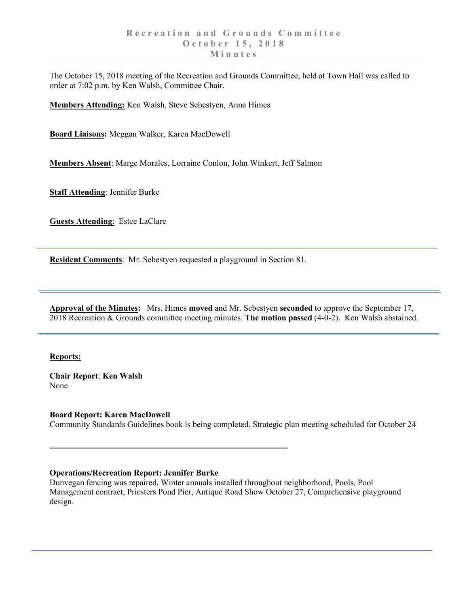The October 15, 2018 meeting of the Recreation and Grounds Committee, held at Town Hall was called to order at 7:02 p.m. by Ken Walsh, Committee Chair.

**Members Attending:** Ken Walsh, Steve Sebestyen, Anna Himes

**Board Liaisons:** Meggan Walker, Karen MacDowell

**Members Absent**: Marge Morales, Lorraine Conlon, John Winkert, Jeff Salmon

**Staff Attending**: Jennifer Burke

**Guests Attending**: Estee LaClare

**Resident Comments**: Mr. Sebestyen requested a playground in Section 81.

**Approval of the Minutes:** Mrs. Himes **moved** and Mr. Sebestyen **seconded** to approve the September 17, 2018 Recreation & Grounds committee meeting minutes. **The motion passed** (4-0-2). Ken Walsh abstained.

## **Reports:**

**Chair Report**: **Ken Walsh** None

**Board Report: Karen MacDowell** Community Standards Guidelines book is being completed, Strategic plan meeting scheduled for October 24

## **Operations/Recreation Report: Jennifer Burke**

Dunvegan fencing was repaired, Winter annuals installed throughout neighborhood, Pools, Pool Management contract, Priesters Pond Pier, Antique Road Show October 27, Comprehensive playground design.